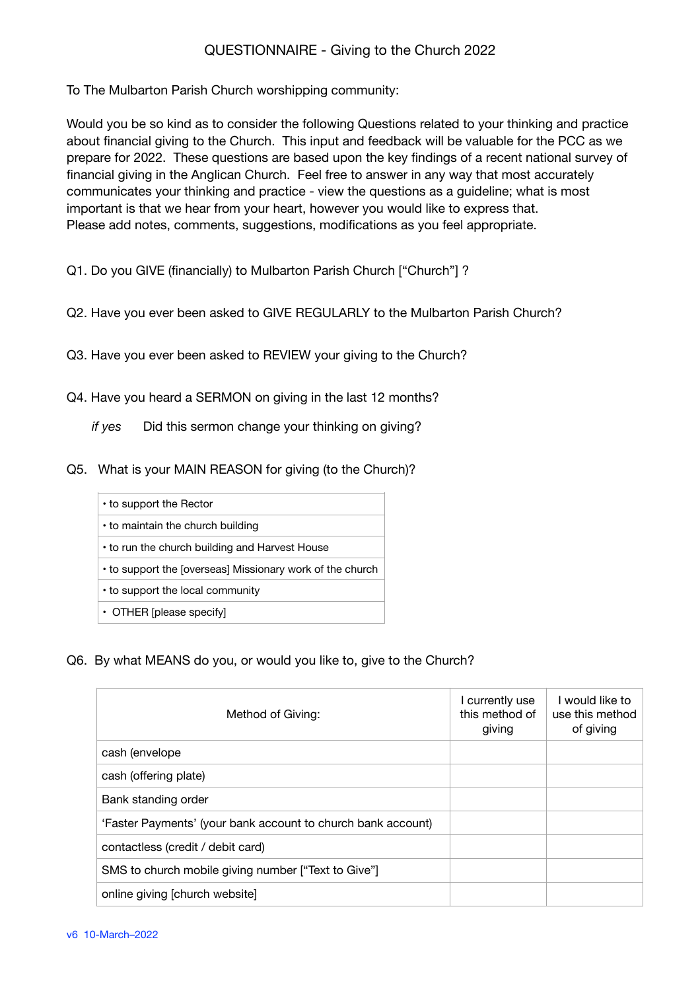## QUESTIONNAIRE - Giving to the Church 2022

To The Mulbarton Parish Church worshipping community:

Would you be so kind as to consider the following Questions related to your thinking and practice about financial giving to the Church. This input and feedback will be valuable for the PCC as we prepare for 2022. These questions are based upon the key findings of a recent national survey of financial giving in the Anglican Church. Feel free to answer in any way that most accurately communicates your thinking and practice - view the questions as a guideline; what is most important is that we hear from your heart, however you would like to express that. Please add notes, comments, suggestions, modifications as you feel appropriate.

Q1. Do you GIVE (financially) to Mulbarton Parish Church ["Church"] ?

- Q2. Have you ever been asked to GIVE REGULARLY to the Mulbarton Parish Church?
- Q3. Have you ever been asked to REVIEW your giving to the Church?
- Q4. Have you heard a SERMON on giving in the last 12 months?

*if yes* Did this sermon change your thinking on giving?

Q5. What is your MAIN REASON for giving (to the Church)?

| • to support the Rector                                   |
|-----------------------------------------------------------|
| • to maintain the church building                         |
| • to run the church building and Harvest House            |
| • to support the [overseas] Missionary work of the church |
| • to support the local community                          |

• OTHER [please specify]

Q6. By what MEANS do you, or would you like to, give to the Church?  $\cdot$ ,  $\cdot$ ,  $\cdot$ 

| Method of Giving:                                            | I currently use<br>this method of<br>giving | I would like to<br>use this method<br>of giving |
|--------------------------------------------------------------|---------------------------------------------|-------------------------------------------------|
| cash (envelope                                               |                                             |                                                 |
| cash (offering plate)                                        |                                             |                                                 |
| Bank standing order                                          |                                             |                                                 |
| 'Faster Payments' (your bank account to church bank account) |                                             |                                                 |
| contactless (credit / debit card)                            |                                             |                                                 |
| SMS to church mobile giving number ["Text to Give"]          |                                             |                                                 |
| online giving [church website]                               |                                             |                                                 |